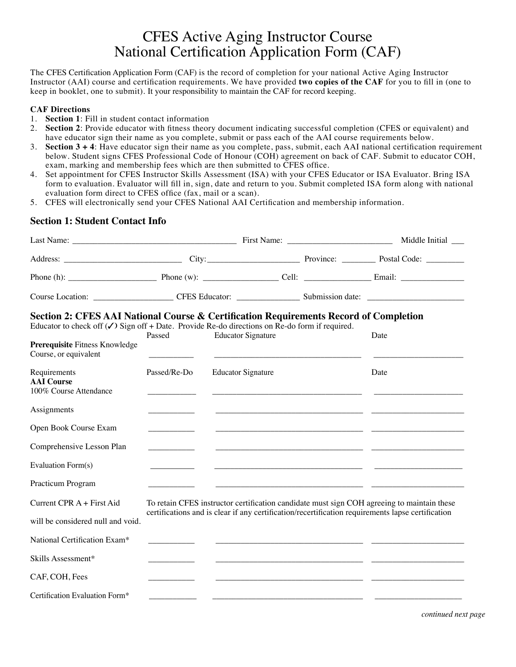# CFES Active Aging Instructor Course National Certification Application Form (CAF)

The CFES Certification Application Form (CAF) is the record of completion for your national Active Aging Instructor Instructor (AAI) course and certification requirements. We have provided **two copies of the CAF** for you to fill in (one to keep in booklet, one to submit). It your responsibility to maintain the CAF for record keeping.

#### **CAF Directions**

- 1. **Section 1**: Fill in student contact information
- 2. **Section 2**: Provide educator with fitness theory document indicating successful completion (CFES or equivalent) and have educator sign their name as you complete, submit or pass each of the AAI course requirements below.
- 3. **Section 3 + 4**: Have educator sign their name as you complete, pass, submit, each AAI national certification requirement below. Student signs CFES Professional Code of Honour (COH) agreement on back of CAF. Submit to educator COH, exam, marking and membership fees which are then submitted to CFES office.
- 4. Set appointment for CFES Instructor Skills Assessment (ISA) with your CFES Educator or ISA Evaluator. Bring ISA form to evaluation. Evaluator will fill in, sign, date and return to you. Submit completed ISA form along with national evaluation form direct to CFES office (fax, mail or a scan).
- 5. CFES will electronically send your CFES National AAI Certification and membership information.

### **Section 1: Student Contact Info**

|                                                                                                                                                                                                                                                               |              |                                                                                                                                                                                                 |  | Middle Initial __ |  |
|---------------------------------------------------------------------------------------------------------------------------------------------------------------------------------------------------------------------------------------------------------------|--------------|-------------------------------------------------------------------------------------------------------------------------------------------------------------------------------------------------|--|-------------------|--|
|                                                                                                                                                                                                                                                               |              |                                                                                                                                                                                                 |  |                   |  |
| Phone (h): $\qquad \qquad$ Phone (w): $\qquad \qquad$ Cell: $\qquad \qquad$ Email: $\qquad \qquad$                                                                                                                                                            |              |                                                                                                                                                                                                 |  |                   |  |
|                                                                                                                                                                                                                                                               |              |                                                                                                                                                                                                 |  |                   |  |
| Section 2: CFES AAI National Course & Certification Requirements Record of Completion<br>Educator to check off $(\checkmark)$ Sign off + Date. Provide Re-do directions on Re-do form if required.<br>Prerequisite Fitness Knowledge<br>Course, or equivalent | Passed       | <b>Educator Signature</b>                                                                                                                                                                       |  | Date              |  |
| Requirements<br><b>AAI</b> Course<br>100% Course Attendance                                                                                                                                                                                                   | Passed/Re-Do | <b>Educator Signature</b>                                                                                                                                                                       |  | Date              |  |
| Assignments                                                                                                                                                                                                                                                   |              |                                                                                                                                                                                                 |  |                   |  |
| Open Book Course Exam                                                                                                                                                                                                                                         |              |                                                                                                                                                                                                 |  |                   |  |
| Comprehensive Lesson Plan                                                                                                                                                                                                                                     |              |                                                                                                                                                                                                 |  |                   |  |
| Evaluation Form(s)                                                                                                                                                                                                                                            |              |                                                                                                                                                                                                 |  |                   |  |
| Practicum Program                                                                                                                                                                                                                                             |              |                                                                                                                                                                                                 |  |                   |  |
| Current CPR A + First Aid<br>will be considered null and void.                                                                                                                                                                                                |              | To retain CFES instructor certification candidate must sign COH agreeing to maintain these<br>certifications and is clear if any certification/recertification requirements lapse certification |  |                   |  |
| National Certification Exam*                                                                                                                                                                                                                                  |              |                                                                                                                                                                                                 |  |                   |  |
| Skills Assessment*                                                                                                                                                                                                                                            |              |                                                                                                                                                                                                 |  |                   |  |
| CAF, COH, Fees                                                                                                                                                                                                                                                |              |                                                                                                                                                                                                 |  |                   |  |
| Certification Evaluation Form*                                                                                                                                                                                                                                |              |                                                                                                                                                                                                 |  |                   |  |

*continued next page*